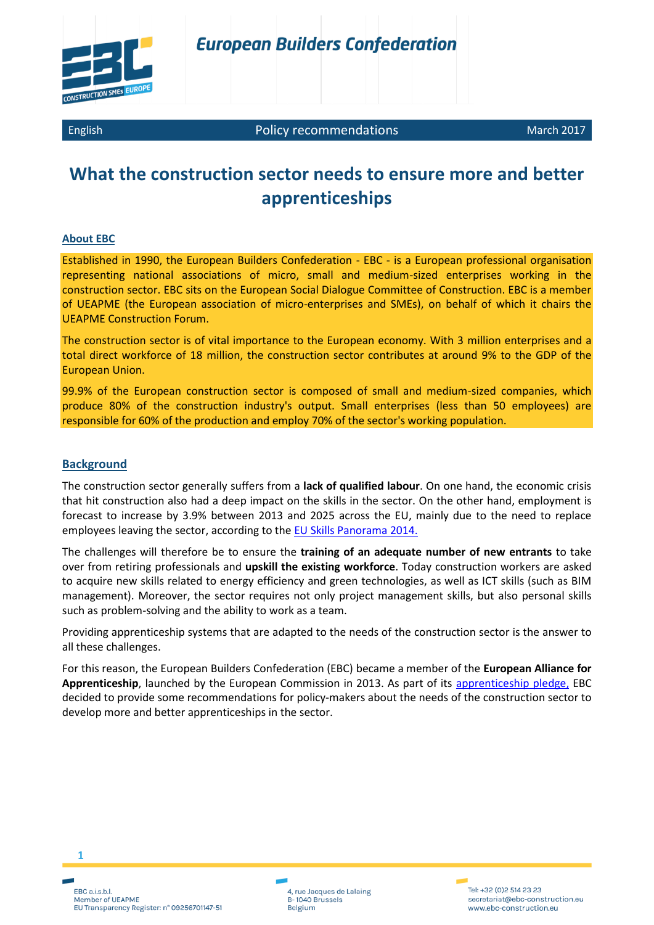

English **Policy recommendations** March 2017

# **What the construction sector needs to ensure more and better apprenticeships**

## **About EBC**

Established in 1990, the European Builders Confederation - EBC - is a European professional organisation representing national associations of micro, small and medium-sized enterprises working in the construction sector. EBC sits on the European Social Dialogue Committee of Construction. EBC is a member of UEAPME (the European association of micro-enterprises and SMEs), on behalf of which it chairs the UEAPME Construction Forum.

The construction sector is of vital importance to the European economy. With 3 million enterprises and a total direct workforce of 18 million, the construction sector contributes at around 9% to the GDP of the European Union.

99.9% of the European construction sector is composed of small and medium-sized companies, which produce 80% of the construction industry's output. Small enterprises (less than 50 employees) are responsible for 60% of the production and employ 70% of the sector's working population.

## **Background**

The construction sector generally suffers from a **lack of qualified labour**. On one hand, the economic crisis that hit construction also had a deep impact on the skills in the sector. On the other hand, employment is forecast to increase by 3.9% between 2013 and 2025 across the EU, mainly due to the need to replace employees leaving the sector, according to the **EU Skills Panorama 2014.** 

The challenges will therefore be to ensure the **training of an adequate number of new entrants** to take over from retiring professionals and **upskill the existing workforce**. Today construction workers are asked to acquire new skills related to energy efficiency and green technologies, as well as ICT skills (such as BIM management). Moreover, the sector requires not only project management skills, but also personal skills such as problem-solving and the ability to work as a team.

Providing apprenticeship systems that are adapted to the needs of the construction sector is the answer to all these challenges.

For this reason, the European Builders Confederation (EBC) became a member of the **European Alliance for Apprenticeship**, launched by the European Commission in 2013. As part of its [apprenticeship pledge,](http://www.ebc-construction.eu/fileadmin/Policies/Social_Affairs/Vocational_Education_and_Training/Pledge_template_NEW_EBC.pdf) EBC decided to provide some recommendations for policy-makers about the needs of the construction sector to develop more and better apprenticeships in the sector.

EBC a.i.s.b.l Member of UEAPME EU Transparency Register: n° 09256701147-51

**1**

4, rue Jacques de Lalaing B-1040 Brussels Belgium

Tel: +32 (0)2 514 23 23 secretariat@ebc-construction.eu www.ebc-construction.eu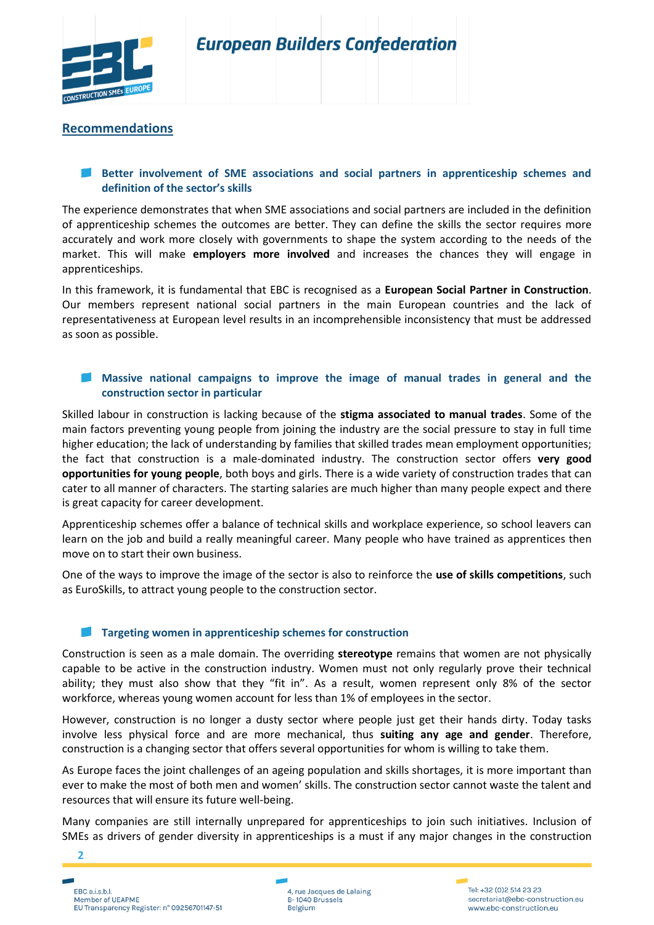

# **Recommendations**

# **Better involvement of SME associations and social partners in apprenticeship schemes and definition of the sector's skills**

The experience demonstrates that when SME associations and social partners are included in the definition of apprenticeship schemes the outcomes are better. They can define the skills the sector requires more accurately and work more closely with governments to shape the system according to the needs of the market. This will make **employers more involved** and increases the chances they will engage in apprenticeships.

In this framework, it is fundamental that EBC is recognised as a **European Social Partner in Construction**. Our members represent national social partners in the main European countries and the lack of representativeness at European level results in an incomprehensible inconsistency that must be addressed as soon as possible.

## **Massive national campaigns to improve the image of manual trades in general and the construction sector in particular**

Skilled labour in construction is lacking because of the **stigma associated to manual trades**. Some of the main factors preventing young people from joining the industry are the social pressure to stay in full time higher education; the lack of understanding by families that skilled trades mean employment opportunities; the fact that construction is a male-dominated industry. The construction sector offers **very good opportunities for young people**, both boys and girls. There is a wide variety of construction trades that can cater to all manner of characters. The starting salaries are much higher than many people expect and there is great capacity for career development.

Apprenticeship schemes offer a balance of technical skills and workplace experience, so school leavers can learn on the job and build a really meaningful career. Many people who have trained as apprentices then move on to start their own business.

One of the ways to improve the image of the sector is also to reinforce the **use of skills competitions**, such as EuroSkills, to attract young people to the construction sector.

## **Targeting women in apprenticeship schemes for construction**

Construction is seen as a male domain. The overriding **stereotype** remains that women are not physically capable to be active in the construction industry. Women must not only regularly prove their technical ability; they must also show that they "fit in". As a result, women represent only 8% of the sector workforce, whereas young women account for less than 1% of employees in the sector.

However, construction is no longer a dusty sector where people just get their hands dirty. Today tasks involve less physical force and are more mechanical, thus **suiting any age and gender**. Therefore, construction is a changing sector that offers several opportunities for whom is willing to take them.

As Europe faces the joint challenges of an ageing population and skills shortages, it is more important than ever to make the most of both men and women' skills. The construction sector cannot waste the talent and resources that will ensure its future well-being.

Many companies are still internally unprepared for apprenticeships to join such initiatives. Inclusion of SMEs as drivers of gender diversity in apprenticeships is a must if any major changes in the construction



**2**

4, rue Jacques de Lalaing B-1040 Brussels Belgium

Tel: +32 (0)2 514 23 23 secretariat@ebc-construction.eu www.ebc-construction.eu